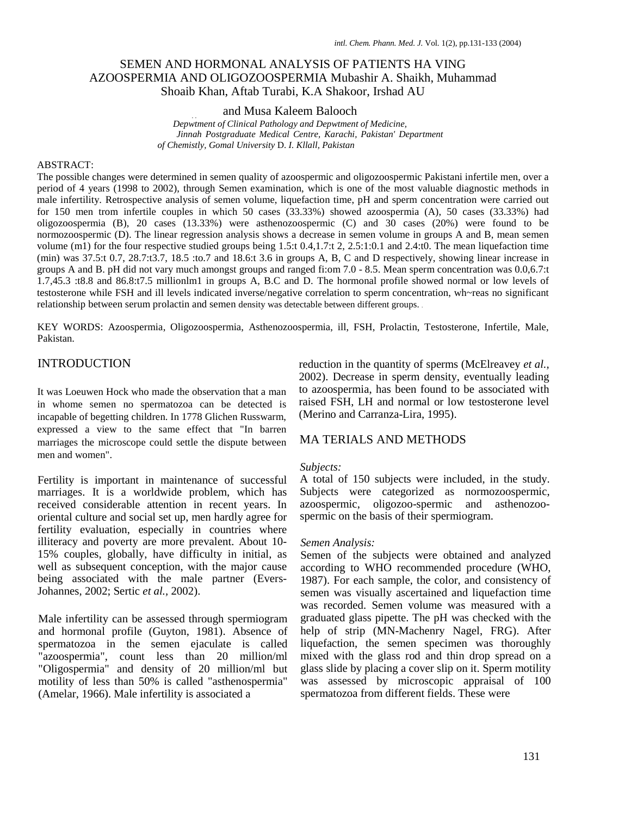# SEMEN AND HORMONAL ANALYSIS OF PATIENTS HA VING AZOOSPERMIA AND OLIGOZOOSPERMIA Mubashir A. Shaikh, Muhammad Shoaib Khan, Aftab Turabi, K.A Shakoor, Irshad AU

#### and Musa Kaleem Balooch

. .  *Depwtment of Clinical Pathology and Depwtment of Medicine, Jinnah Postgraduate Medical Centre, Karachi, Pakistan' Department of Chemistly, Gomal University* D. *I. Kllall, Pakistan* 

#### ABSTRACT:

The possible changes were determined in semen quality of azoospermic and oligozoospermic Pakistani infertile men, over a period of 4 years (1998 to 2002), through Semen examination, which is one of the most valuable diagnostic methods in male infertility. Retrospective analysis of semen volume, liquefaction time, pH and sperm concentration were carried out for 150 men trom infertile couples in which 50 cases (33.33%) showed azoospermia (A), 50 cases (33.33%) had oligozoospermia (B), 20 cases (13.33%) were asthenozoospermic (C) and 30 cases (20%) were found to be normozoospermic (D). The linear regression analysis shows a decrease in semen volume in groups A and B, mean semen volume (m1) for the four respective studied groups being 1.5:t 0.4,1.7:t 2, 2.5:1:0.1 and 2.4:t0. The mean liquefaction time (min) was 37.5:t 0.7, 28.7:t3.7, 18.5 :to.7 and 18.6:t 3.6 in groups A, B, C and D respectively, showing linear increase in groups A and B. pH did not vary much amongst groups and ranged fi:om 7.0 - 8.5. Mean sperm concentration was 0.0,6.7:t 1.7,45.3 :t8.8 and 86.8:t7.5 millionlm1 in groups A, B.C and D. The hormonal profile showed normal or low levels of testosterone while FSH and ill levels indicated inverse/negative correlation to sperm concentration, wh~reas no significant relationship between serum prolactin and semen density was detectable between different groups. .

KEY WORDS: Azoospermia, Oligozoospermia, Asthenozoospermia, ill, FSH, Prolactin, Testosterone, Infertile, Male, Pakistan.

## INTRODUCTION

It was Loeuwen Hock who made the observation that a man in whome semen no spermatozoa can be detected is incapable of begetting children. In 1778 Glichen Russwarm, expressed a view to the same effect that "In barren marriages the microscope could settle the dispute between men and women".

Fertility is important in maintenance of successful marriages. It is a worldwide problem, which has received considerable attention in recent years. In oriental culture and social set up, men hardly agree for fertility evaluation, especially in countries where illiteracy and poverty are more prevalent. About 10- 15% couples, globally, have difficulty in initial, as well as subsequent conception, with the major cause being associated with the male partner (Evers-Johannes, 2002; Sertic *et al.,* 2002).

Male infertility can be assessed through spermiogram and hormonal profile (Guyton, 1981). Absence of spermatozoa in the semen ejaculate is called "azoospermia", count less than 20 million/ml "Oligospermia" and density of 20 million/ml but motility of less than 50% is called "asthenospermia" (Amelar, 1966). Male infertility is associated a

reduction in the quantity of sperms (McElreavey *et al.,*  2002). Decrease in sperm density, eventually leading to azoospermia, has been found to be associated with raised FSH, LH and normal or low testosterone level (Merino and Carranza-Lira, 1995).

## MA TERIALS AND METHODS

#### *Subjects:*

A total of 150 subjects were included, in the study. Subjects were categorized as normozoospermic, azoospermic, oligozoo-spermic and asthenozoospermic on the basis of their spermiogram.

#### *Semen Analysis:*

Semen of the subjects were obtained and analyzed according to WHO recommended procedure (WHO, 1987). For each sample, the color, and consistency of semen was visually ascertained and liquefaction time was recorded. Semen volume was measured with a graduated glass pipette. The pH was checked with the help of strip (MN-Machenry Nagel, FRG). After liquefaction, the semen specimen was thoroughly mixed with the glass rod and thin drop spread on a glass slide by placing a cover slip on it. Sperm motility was assessed by microscopic appraisal of 100 spermatozoa from different fields. These were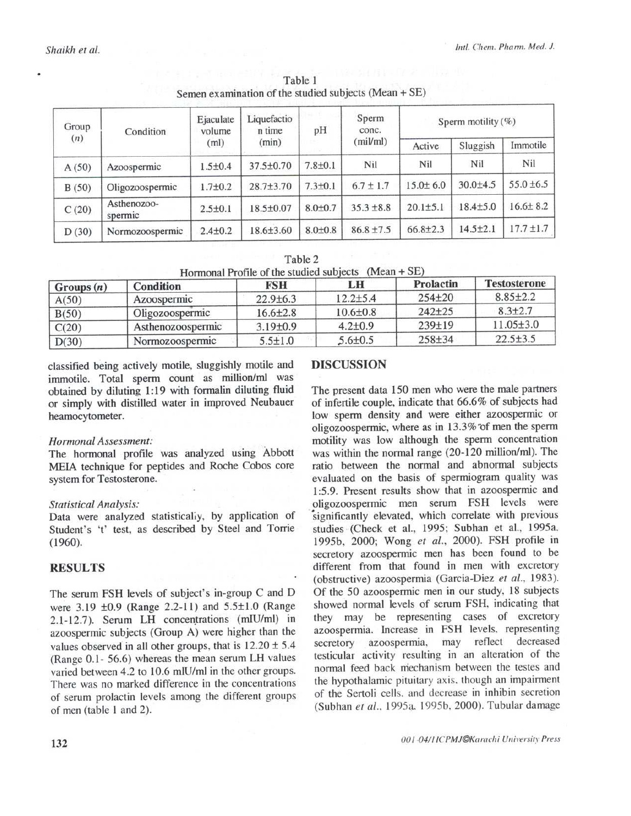| Group<br>(n) | Condition              | Ejaculate<br>volume<br>(ml) | Liquefactio<br>n time<br>(min) | pH            | Sperm<br>conc.<br>(mil/ml) | Sperm motility $(\%)$ |                |                |
|--------------|------------------------|-----------------------------|--------------------------------|---------------|----------------------------|-----------------------|----------------|----------------|
|              |                        |                             |                                |               |                            | Active                | Sluggish       | Immotile       |
| A(50)        | Azoospermic            | $1.5 \pm 0.4$               | 37.5±0.70                      | $7.8 + 0.1$   | Nil                        | Nil                   | Nil            | Nil            |
| B(50)        | Oligozoospermic        | $1.7 \pm 0.2$               | $28.7 \pm 3.70$                | $7.3 + 0.1$   | $6.7 \pm 1.7$              | $15.0 \pm 6.0$        | $30.0 + 4.5$   | $55.0 \pm 6.5$ |
| C(20)        | Asthenozoo-<br>spermic | $2.5 \pm 0.1$               | 18.5±0.07                      | $8.0 \pm 0.7$ | $35.3 \pm 8.8$             | $20.1 \pm 5.1$        | $18.4 \pm 5.0$ | $16.6 \pm 8.2$ |
| D(30)        | Normozoospermic        | $2.4 \pm 0.2$               | $18.6 \pm 3.60$                | $8.0 \pm 0.8$ | $86.8 \pm 7.5$             | $66.8{\pm}2.3$        | $14.5 + 2.1$   | $17.7 \pm 1.7$ |

Table 1 Semen examination of the studied subjects (Mean + SE)

| Table 2                                                |  |
|--------------------------------------------------------|--|
| Hormonal Profile of the studied subjects $(Mean + SE)$ |  |

| Groups(n) | Condition         | <b>FSH</b>     | LH             | Prolactin  | <b>Testosterone</b> |
|-----------|-------------------|----------------|----------------|------------|---------------------|
| A(50)     | Azoospermic       | $22.9 + 6.3$   | $12.2 \pm 5.4$ | $254 + 20$ | $8.85 \pm 2.2$      |
| B(50)     | Oligozoospermic   | $16.6 \pm 2.8$ | $10.6 \pm 0.8$ | $242+25$   | $8.3 + 2.7$         |
| C(20)     | Asthenozoospermic | $3.19 \pm 0.9$ | $4.2 + 0.9$    | $239+19$   | $11.05\pm3.0$       |
| D(30)     | Normozoospermic   | $5.5 \pm 1.0$  | $5.6 \pm 0.5$  | $258 + 34$ | $22.5 \pm 3.5$      |

classified being actively motile, sluggishly motile and immotile. Total sperm count as million/ml was obtained by diluting 1:19 with formalin diluting fluid or simply with distilled water in improved Neubauer heamocytometer.

### Hormonal Assessment:

The hormonal profile was analyzed using Abbott MEIA technique for peptides and Roche Cobos core system for Testosterone.

#### **Statistical Analysis:**

Data were analyzed statistically, by application of Student's 't' test, as described by Steel and Torrie  $(1960).$ 

## **RESULTS**

The serum FSH levels of subject's in-group C and D were 3.19 ±0.9 (Range 2.2-11) and 5.5±1.0 (Range 2.1-12.7). Serum LH concentrations (mIU/ml) in azoospermic subjects (Group A) were higher than the values observed in all other groups, that is  $12.20 \pm 5.4$ (Range 0.1- 56.6) whereas the mean serum LH values varied between 4.2 to 10.6 mlU/ml in the other groups. There was no marked difference in the concentrations of serum prolactin levels among the different groups of men (table 1 and 2).

## **DISCUSSION**

The present data 150 men who were the male partners of infertile couple, indicate that 66.6% of subjects had low sperm density and were either azoospermic or oligozoospermic, where as in 13.3% of men the sperm motility was low although the sperm concentration was within the normal range (20-120 million/ml). The ratio between the normal and abnormal subjects evaluated on the basis of spermiogram quality was 1:5.9. Present results show that in azoospermic and oligozoospermic men serum FSH levels were significantly elevated, which correlate with previous studies (Check et al., 1995; Subhan et al., 1995a. 1995b, 2000; Wong et al., 2000). FSH profile in secretory azoospermic men has been found to be different from that found in men with excretory (obstructive) azoospermia (Garcia-Diez et al., 1983). Of the 50 azoospermic men in our study, 18 subjects showed normal levels of serum FSH, indicating that they may be representing cases of excretory azoospermia. Increase in FSH levels, representing may reflect decreased azoospermia, secretory testicular activity resulting in an alteration of the normal feed back mechanism between the testes and the hypothalamic pituitary axis, though an impairment of the Sertoli cells, and decrease in inhibin secretion (Subhan et al., 1995a, 1995b, 2000). Tubular damage